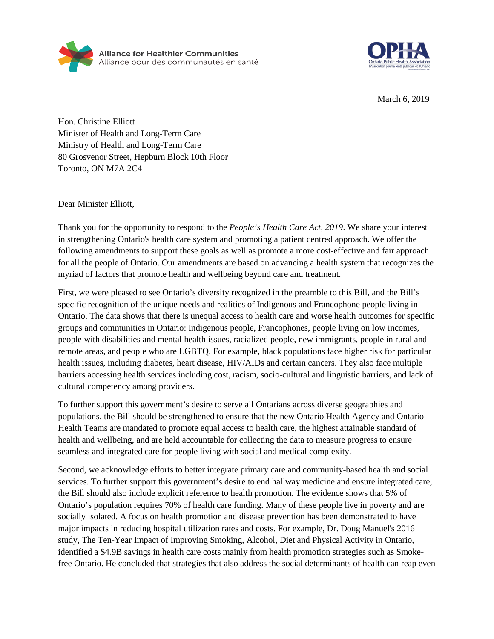



March 6, 2019

Hon. Christine Elliott Minister of Health and Long-Term Care Ministry of Health and Long-Term Care 80 Grosvenor Street, Hepburn Block 10th Floor Toronto, ON M7A 2C4

Dear Minister Elliott,

Thank you for the opportunity to respond to the *People's Health Care Act, 2019*. We share your interest in strengthening Ontario's health care system and promoting a patient centred approach. We offer the following amendments to support these goals as well as promote a more cost-effective and fair approach for all the people of Ontario. Our amendments are based on advancing a health system that recognizes the myriad of factors that promote health and wellbeing beyond care and treatment.

First, we were pleased to see Ontario's diversity recognized in the preamble to this Bill, and the Bill's specific recognition of the unique needs and realities of Indigenous and Francophone people living in Ontario. The data shows that there is unequal access to health care and worse health outcomes for specific groups and communities in Ontario: Indigenous people, Francophones, people living on low incomes, people with disabilities and mental health issues, racialized people, new immigrants, people in rural and remote areas, and people who are LGBTQ. For example, black populations face higher risk for particular health issues, including diabetes, heart disease, HIV/AIDs and certain cancers. They also face multiple barriers accessing health services including cost, racism, socio-cultural and linguistic barriers, and lack of cultural competency among providers.

To further support this government's desire to serve all Ontarians across diverse geographies and populations, the Bill should be strengthened to ensure that the new Ontario Health Agency and Ontario Health Teams are mandated to promote equal access to health care, the highest attainable standard of health and wellbeing, and are held accountable for collecting the data to measure progress to ensure seamless and integrated care for people living with social and medical complexity.

Second, we acknowledge efforts to better integrate primary care and community-based health and social services. To further support this government's desire to end hallway medicine and ensure integrated care, the Bill should also include explicit reference to health promotion. The evidence shows that 5% of Ontario's population requires 70% of health care funding. Many of these people live in poverty and are socially isolated. A focus on health promotion and disease prevention has been demonstrated to have major impacts in reducing hospital utilization rates and costs. For example, Dr. Doug Manuel's 2016 study, [The Ten-Year Impact of Improving Smoking, Alcohol, Diet and Physical Activity in Ontario,](https://www.ices.on.ca/Publications/Atlases-and-Reports/2016/A-4-9-Billion-Dollar-Decrease-in-Health-Care-Expenditure) identified a \$4.9B savings in health care costs mainly from health promotion strategies such as Smokefree Ontario. He concluded that strategies that also address the social determinants of health can reap even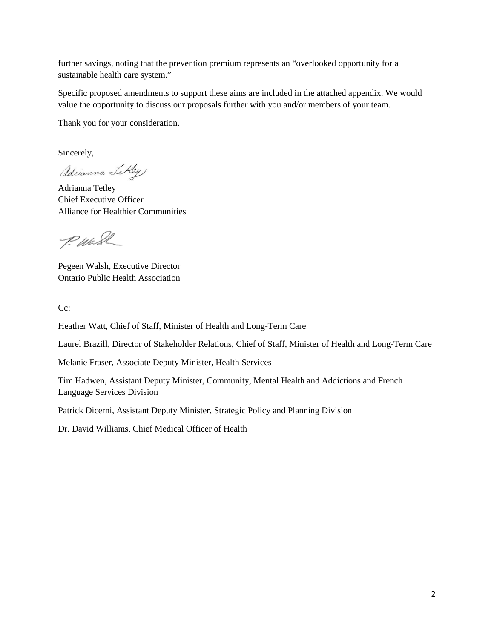further savings, noting that the prevention premium represents an "overlooked opportunity for a sustainable health care system."

Specific proposed amendments to support these aims are included in the attached appendix. We would value the opportunity to discuss our proposals further with you and/or members of your team.

Thank you for your consideration.

Sincerely,

adrianna Tetley

Adrianna Tetley Chief Executive Officer Alliance for Healthier Communities

P. Wash

Pegeen Walsh, Executive Director Ontario Public Health Association

Cc:

Heather Watt, Chief of Staff, Minister of Health and Long-Term Care

Laurel Brazill, Director of Stakeholder Relations, Chief of Staff, Minister of Health and Long-Term Care

Melanie Fraser, Associate Deputy Minister, Health Services

Tim Hadwen, Assistant Deputy Minister, Community, Mental Health and Addictions and French Language Services Division

Patrick Dicerni, Assistant Deputy Minister, Strategic Policy and Planning Division

Dr. David Williams, Chief Medical Officer of Health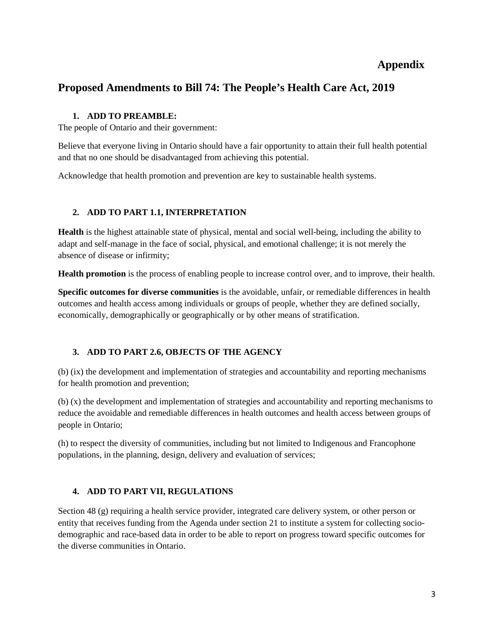## **Appendix**

# **Proposed Amendments to Bill 74: The People's Health Care Act, 2019**

#### **1. ADD TO PREAMBLE:**

The people of Ontario and their government:

Believe that everyone living in Ontario should have a fair opportunity to attain their full health potential and that no one should be disadvantaged from achieving this potential.

Acknowledge that health promotion and prevention are key to sustainable health systems.

#### **2. ADD TO PART 1.1, INTERPRETATION**

**Health** is the highest attainable state of physical, mental and social well-being, including the ability to adapt and self-manage in the face of social, physical, and emotional challenge; it is not merely the absence of disease or infirmity;

**Health promotion** is the process of enabling people to increase control over, and to improve, their health.

**Specific outcomes for diverse communities** is the avoidable, unfair, or remediable differences in health outcomes and health access among individuals or groups of people, whether they are defined socially, economically, demographically or geographically or by other means of stratification.

### **3. ADD TO PART 2.6, OBJECTS OF THE AGENCY**

(b) (ix) the development and implementation of strategies and accountability and reporting mechanisms for health promotion and prevention;

(b) (x) the development and implementation of strategies and accountability and reporting mechanisms to reduce the avoidable and remediable differences in health outcomes and health access between groups of people in Ontario;

(h) to respect the diversity of communities, including but not limited to Indigenous and Francophone populations, in the planning, design, delivery and evaluation of services;

#### **4. ADD TO PART VII, REGULATIONS**

Section 48 (g) requiring a health service provider, integrated care delivery system, or other person or entity that receives funding from the Agenda under section 21 to institute a system for collecting sociodemographic and race-based data in order to be able to report on progress toward specific outcomes for the diverse communities in Ontario.